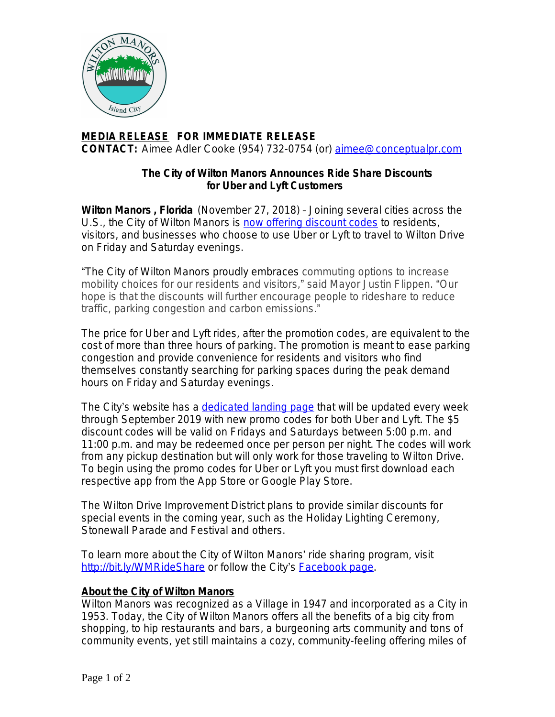

## **MEDIA RELEASE FOR IMMEDIATE RELEASE CONTACT:** Aimee Adler Cooke (954) 732-0754 (or) [aimee@conceptualpr.com](mailto:aimee@conceptualpr.com)

## **The City of Wilton Manors Announces Ride Share Discounts for Uber and Lyft Customers**

**Wilton Manors , Florida** (November 27, 2018) – Joining several cities across the U.S., the City of Wilton Manors is [now offering discount codes](http://bit.ly/WMRideShare) to residents, visitors, and businesses who choose to use Uber or Lyft to travel to Wilton Drive on Friday and Saturday evenings.

"The City of Wilton Manors proudly embraces commuting options to increase mobility choices for our residents and visitors," said Mayor Justin Flippen. "Our hope is that the discounts will further encourage people to rideshare to reduce traffic, parking congestion and carbon emissions."

The price for Uber and Lyft rides, after the promotion codes, are equivalent to the cost of more than three hours of parking. The promotion is meant to ease parking congestion and provide convenience for residents and visitors who find themselves constantly searching for parking spaces during the peak demand hours on Friday and Saturday evenings.

The City's website has a [dedicated landing page](http://bit.ly/WMRideShare) that will be updated every week through September 2019 with new promo codes for both Uber and Lyft. The \$5 discount codes will be valid on Fridays and Saturdays between 5:00 p.m. and 11:00 p.m. and may be redeemed once per person per night. The codes will work from any pickup destination but will only work for those traveling to Wilton Drive. To begin using the promo codes for Uber or Lyft you must first download each respective app from the App Store or Google Play Store.

The Wilton Drive Improvement District plans to provide similar discounts for special events in the coming year, such as the Holiday Lighting Ceremony, Stonewall Parade and Festival and others.

To learn more about the City of Wilton Manors' ride sharing program, visit <http://bit.ly/WMRideShare> or follow the City's **[Facebook page](https://www.facebook.com/OfficialWiltonManors/?ref=aymt_homepage_panel&eid=ARCet3vIfZW6YwUwa9NTtB3_2Lpp5yqSGlNyg1XDL8aGvL5RziDAdtj2SLiiC6vsxQi9MHGf0BHu_3s1)**.

## **About the City of Wilton Manors**

Wilton Manors was recognized as a Village in 1947 and incorporated as a City in 1953. Today, the City of Wilton Manors offers all the benefits of a big city from shopping, to hip restaurants and bars, a burgeoning arts community and tons of community events, yet still maintains a cozy, community-feeling offering miles of